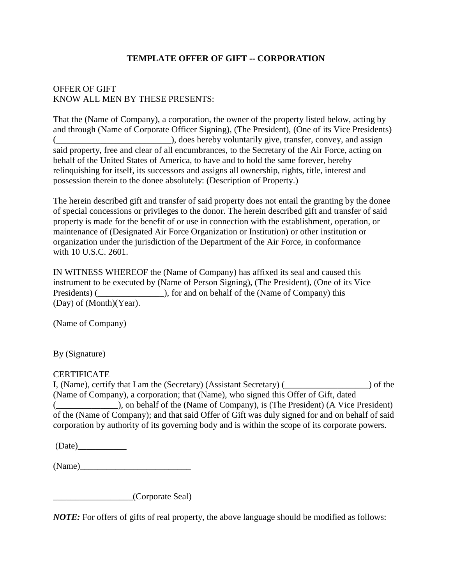# **TEMPLATE OFFER OF GIFT -- CORPORATION**

# OFFER OF GIFT KNOW ALL MEN BY THESE PRESENTS:

That the (Name of Company), a corporation, the owner of the property listed below, acting by and through (Name of Corporate Officer Signing), (The President), (One of its Vice Presidents) (\_\_\_\_\_\_\_\_\_\_\_\_\_\_\_\_\_\_\_\_\_\_\_\_\_\_), does hereby voluntarily give, transfer, convey, and assign said property, free and clear of all encumbrances, to the Secretary of the Air Force, acting on behalf of the United States of America, to have and to hold the same forever, hereby relinquishing for itself, its successors and assigns all ownership, rights, title, interest and possession therein to the donee absolutely: (Description of Property.)

The herein described gift and transfer of said property does not entail the granting by the donee of special concessions or privileges to the donor. The herein described gift and transfer of said property is made for the benefit of or use in connection with the establishment, operation, or maintenance of (Designated Air Force Organization or Institution) or other institution or organization under the jurisdiction of the Department of the Air Force, in conformance with 10 U.S.C. 2601.

IN WITNESS WHEREOF the (Name of Company) has affixed its seal and caused this instrument to be executed by (Name of Person Signing), (The President), (One of its Vice Presidents) (
and on behalf of the (Name of Company) this (Day) of (Month)(Year).

(Name of Company)

By (Signature)

### **CERTIFICATE**

I, (Name), certify that I am the (Secretary) (Assistant Secretary) (\_\_\_\_\_\_\_\_\_\_\_\_\_\_\_\_\_\_\_) of the (Name of Company), a corporation; that (Name), who signed this Offer of Gift, dated (\_\_\_\_\_\_\_\_\_\_\_\_\_\_), on behalf of the (Name of Company), is (The President) (A Vice President) of the (Name of Company); and that said Offer of Gift was duly signed for and on behalf of said corporation by authority of its governing body and is within the scope of its corporate powers.

 $(Date)$ 

 $(Name)$ 

\_\_\_\_\_\_\_\_\_\_\_\_\_\_\_\_\_\_(Corporate Seal)

*NOTE:* For offers of gifts of real property, the above language should be modified as follows: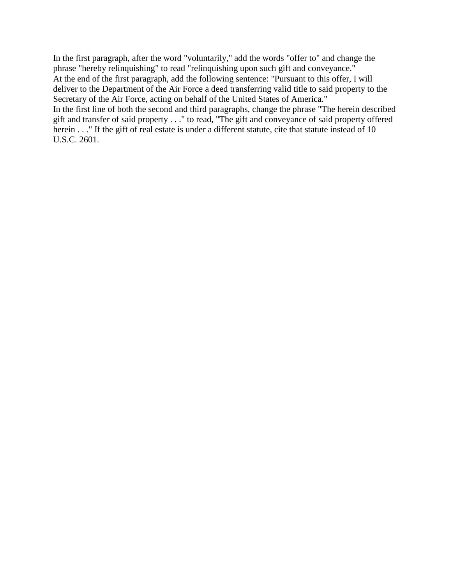In the first paragraph, after the word "voluntarily," add the words "offer to" and change the phrase "hereby relinquishing" to read "relinquishing upon such gift and conveyance." At the end of the first paragraph, add the following sentence: "Pursuant to this offer, I will deliver to the Department of the Air Force a deed transferring valid title to said property to the Secretary of the Air Force, acting on behalf of the United States of America." In the first line of both the second and third paragraphs, change the phrase "The herein described gift and transfer of said property . . ." to read, "The gift and conveyance of said property offered herein . . ." If the gift of real estate is under a different statute, cite that statute instead of 10 U.S.C. 2601.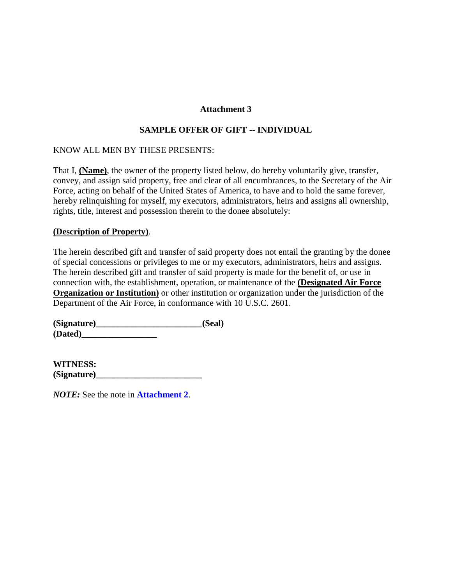### **Attachment 3**

### **SAMPLE OFFER OF GIFT -- INDIVIDUAL**

### KNOW ALL MEN BY THESE PRESENTS:

That I, **(Name)**, the owner of the property listed below, do hereby voluntarily give, transfer, convey, and assign said property, free and clear of all encumbrances, to the Secretary of the Air Force, acting on behalf of the United States of America, to have and to hold the same forever, hereby relinquishing for myself, my executors, administrators, heirs and assigns all ownership, rights, title, interest and possession therein to the donee absolutely:

#### **(Description of Property)**.

The herein described gift and transfer of said property does not entail the granting by the donee of special concessions or privileges to me or my executors, administrators, heirs and assigns. The herein described gift and transfer of said property is made for the benefit of, or use in connection with, the establishment, operation, or maintenance of the **(Designated Air Force Organization or Institution)** or other institution or organization under the jurisdiction of the Department of the Air Force, in conformance with 10 U.S.C. 2601.

**(Signature)\_\_\_\_\_\_\_\_\_\_\_\_\_\_\_\_\_\_\_\_\_\_\_\_(Seal) (Dated)\_\_\_\_\_\_\_\_\_\_\_\_\_\_\_\_\_**

**WITNESS: (Signature)\_\_\_\_\_\_\_\_\_\_\_\_\_\_\_\_\_\_\_\_\_\_\_\_**

*NOTE:* See the note in **Attachment 2**.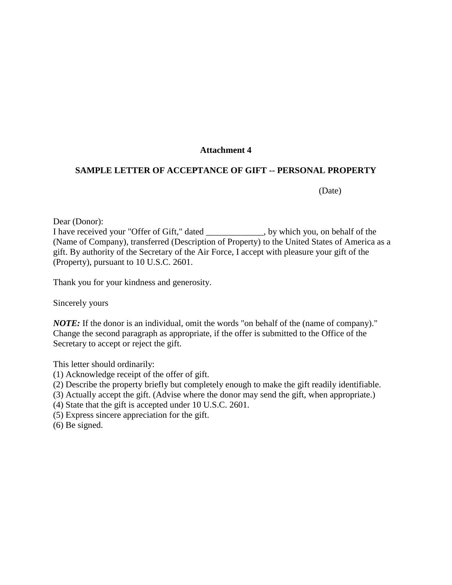### **Attachment 4**

### **SAMPLE LETTER OF ACCEPTANCE OF GIFT -- PERSONAL PROPERTY**

(Date)

Dear (Donor):

I have received your "Offer of Gift," dated \_\_\_\_\_\_\_\_\_\_\_\_\_, by which you, on behalf of the (Name of Company), transferred (Description of Property) to the United States of America as a gift. By authority of the Secretary of the Air Force, I accept with pleasure your gift of the (Property), pursuant to 10 U.S.C. 2601.

Thank you for your kindness and generosity.

Sincerely yours

*NOTE*: If the donor is an individual, omit the words "on behalf of the (name of company)." Change the second paragraph as appropriate, if the offer is submitted to the Office of the Secretary to accept or reject the gift.

This letter should ordinarily:

- (1) Acknowledge receipt of the offer of gift.
- (2) Describe the property briefly but completely enough to make the gift readily identifiable.
- (3) Actually accept the gift. (Advise where the donor may send the gift, when appropriate.)
- (4) State that the gift is accepted under 10 U.S.C. 2601.
- (5) Express sincere appreciation for the gift.
- (6) Be signed.